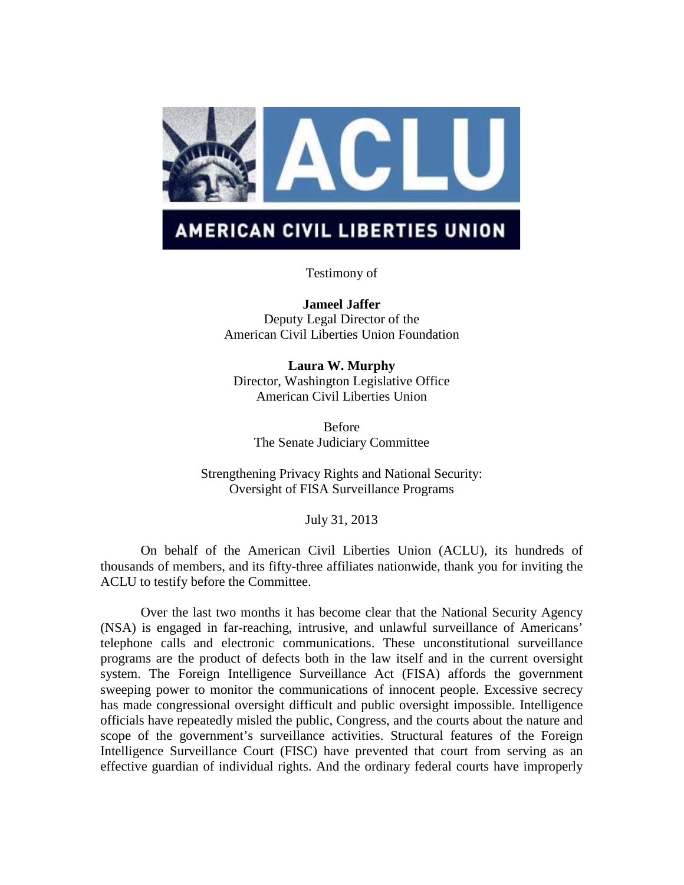

# **AMERICAN CIVIL LIBERTIES UNION**

Testimony of

**Jameel Jaffer** Deputy Legal Director of the American Civil Liberties Union Foundation

**Laura W. Murphy** Director, Washington Legislative Office American Civil Liberties Union

Before The Senate Judiciary Committee

Strengthening Privacy Rights and National Security: Oversight of FISA Surveillance Programs

July 31, 2013

On behalf of the American Civil Liberties Union (ACLU), its hundreds of thousands of members, and its fifty-three affiliates nationwide, thank you for inviting the ACLU to testify before the Committee.

Over the last two months it has become clear that the National Security Agency (NSA) is engaged in far-reaching, intrusive, and unlawful surveillance of Americans' telephone calls and electronic communications. These unconstitutional surveillance programs are the product of defects both in the law itself and in the current oversight system. The Foreign Intelligence Surveillance Act (FISA) affords the government sweeping power to monitor the communications of innocent people. Excessive secrecy has made congressional oversight difficult and public oversight impossible. Intelligence officials have repeatedly misled the public, Congress, and the courts about the nature and scope of the government's surveillance activities. Structural features of the Foreign Intelligence Surveillance Court (FISC) have prevented that court from serving as an effective guardian of individual rights. And the ordinary federal courts have improperly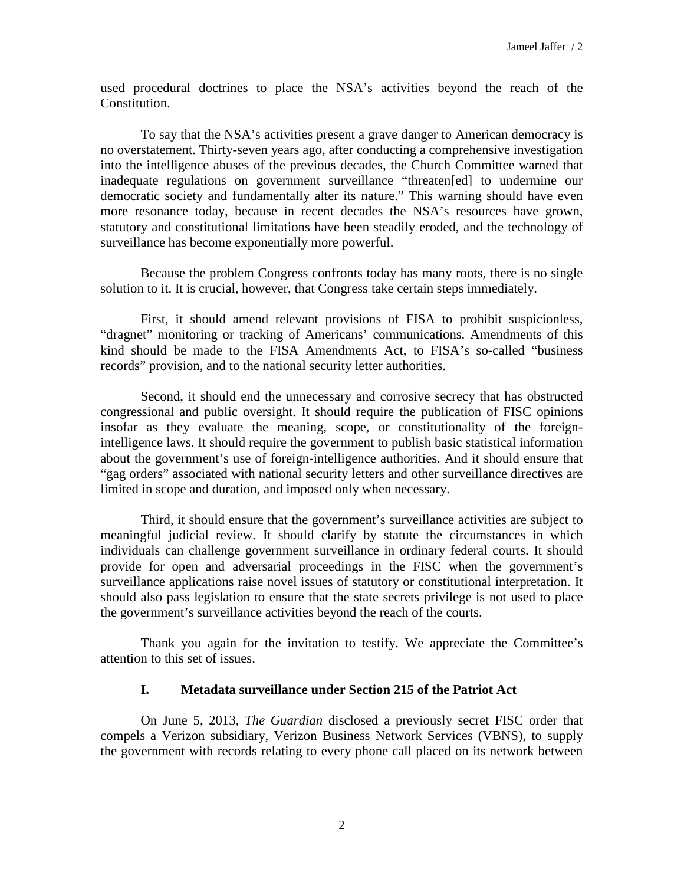used procedural doctrines to place the NSA's activities beyond the reach of the Constitution.

To say that the NSA's activities present a grave danger to American democracy is no overstatement. Thirty-seven years ago, after conducting a comprehensive investigation into the intelligence abuses of the previous decades, the Church Committee warned that inadequate regulations on government surveillance "threaten[ed] to undermine our democratic society and fundamentally alter its nature." This warning should have even more resonance today, because in recent decades the NSA's resources have grown, statutory and constitutional limitations have been steadily eroded, and the technology of surveillance has become exponentially more powerful.

Because the problem Congress confronts today has many roots, there is no single solution to it. It is crucial, however, that Congress take certain steps immediately.

First, it should amend relevant provisions of FISA to prohibit suspicionless, "dragnet" monitoring or tracking of Americans' communications. Amendments of this kind should be made to the FISA Amendments Act, to FISA's so-called "business records" provision, and to the national security letter authorities.

Second, it should end the unnecessary and corrosive secrecy that has obstructed congressional and public oversight. It should require the publication of FISC opinions insofar as they evaluate the meaning, scope, or constitutionality of the foreignintelligence laws. It should require the government to publish basic statistical information about the government's use of foreign-intelligence authorities. And it should ensure that "gag orders" associated with national security letters and other surveillance directives are limited in scope and duration, and imposed only when necessary.

Third, it should ensure that the government's surveillance activities are subject to meaningful judicial review. It should clarify by statute the circumstances in which individuals can challenge government surveillance in ordinary federal courts. It should provide for open and adversarial proceedings in the FISC when the government's surveillance applications raise novel issues of statutory or constitutional interpretation. It should also pass legislation to ensure that the state secrets privilege is not used to place the government's surveillance activities beyond the reach of the courts.

Thank you again for the invitation to testify. We appreciate the Committee's attention to this set of issues.

# **I. Metadata surveillance under Section 215 of the Patriot Act**

On June 5, 2013, *The Guardian* disclosed a previously secret FISC order that compels a Verizon subsidiary, Verizon Business Network Services (VBNS), to supply the government with records relating to every phone call placed on its network between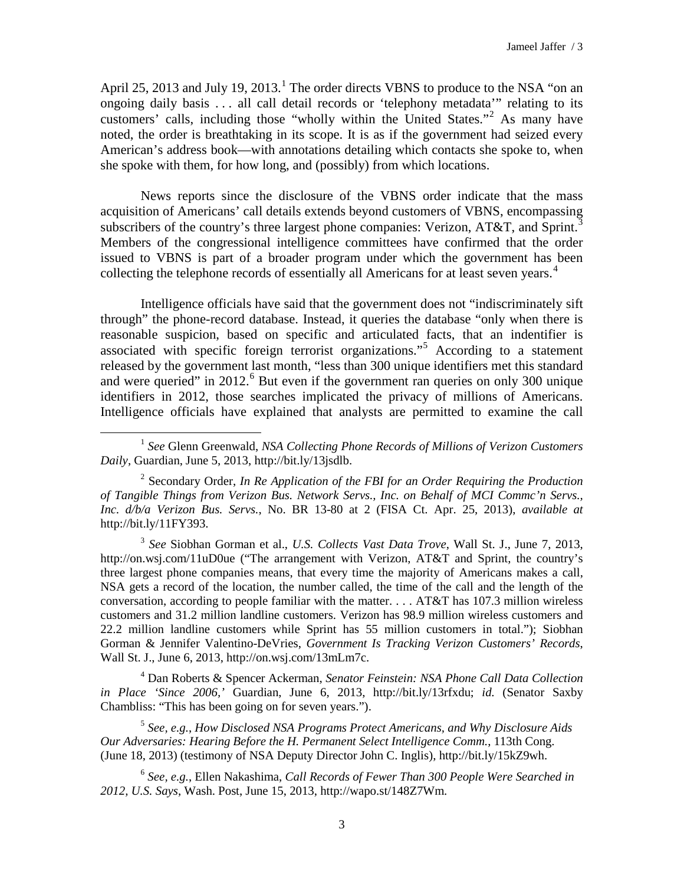April 25, 20[1](#page-2-0)3 and July 19, 2013.<sup>1</sup> The order directs VBNS to produce to the NSA "on an ongoing daily basis . . . all call detail records or 'telephony metadata'" relating to its customers' calls, including those "wholly within the United States."[2](#page-2-1) As many have noted, the order is breathtaking in its scope. It is as if the government had seized every American's address book—with annotations detailing which contacts she spoke to, when she spoke with them, for how long, and (possibly) from which locations.

News reports since the disclosure of the VBNS order indicate that the mass acquisition of Americans' call details extends beyond customers of VBNS, encompassing subscribers of the country's three largest phone companies: Verizon, AT&T, and Sprint.<sup>[3](#page-2-2)</sup> Members of the congressional intelligence committees have confirmed that the order issued to VBNS is part of a broader program under which the government has been collecting the telephone records of essentially all Americans for at least seven years.<sup>[4](#page-2-3)</sup>

Intelligence officials have said that the government does not "indiscriminately sift through" the phone-record database. Instead, it queries the database "only when there is reasonable suspicion, based on specific and articulated facts, that an indentifier is associated with specific foreign terrorist organizations."[5](#page-2-4) According to a statement released by the government last month, "less than 300 unique identifiers met this standard and were queried" in  $2012<sup>6</sup>$  $2012<sup>6</sup>$  $2012<sup>6</sup>$  But even if the government ran queries on only 300 unique identifiers in 2012, those searches implicated the privacy of millions of Americans. Intelligence officials have explained that analysts are permitted to examine the call

 $\overline{a}$ 

<span id="page-2-1"></span><sup>2</sup> Secondary Order, *In Re Application of the FBI for an Order Requiring the Production of Tangible Things from Verizon Bus. Network Servs., Inc. on Behalf of MCI Commc'n Servs., Inc. d/b/a Verizon Bus. Servs.*, No. BR 13-80 at 2 (FISA Ct. Apr. 25, 2013), *available at* http://bit.ly/11FY393.

<span id="page-2-2"></span><sup>3</sup> *See* Siobhan Gorman et al., *U.S. Collects Vast Data Trove*, Wall St. J., June 7, 2013, http://on.wsj.com/11uD0ue ("The arrangement with Verizon, AT&T and Sprint, the country's three largest phone companies means, that every time the majority of Americans makes a call, NSA gets a record of the location, the number called, the time of the call and the length of the conversation, according to people familiar with the matter. . . . AT&T has 107.3 million wireless customers and 31.2 million landline customers. Verizon has 98.9 million wireless customers and 22.2 million landline customers while Sprint has 55 million customers in total."); Siobhan Gorman & Jennifer Valentino-DeVries, *Government Is Tracking Verizon Customers' Records*, Wall St. J., June 6, 2013, http://on.wsj.com/13mLm7c.

<span id="page-2-3"></span><sup>4</sup> Dan Roberts & Spencer Ackerman, *Senator Feinstein: NSA Phone Call Data Collection in Place 'Since 2006,'* Guardian, June 6, 2013, http://bit.ly/13rfxdu; *id.* (Senator Saxby Chambliss: "This has been going on for seven years.").

<span id="page-2-4"></span><sup>5</sup> *See, e.g.*, *How Disclosed NSA Programs Protect Americans, and Why Disclosure Aids Our Adversaries: Hearing Before the H. Permanent Select Intelligence Comm.*, 113th Cong. (June 18, 2013) (testimony of NSA Deputy Director John C. Inglis), http://bit.ly/15kZ9wh.

<span id="page-2-5"></span><sup>6</sup> *See, e.g.*, Ellen Nakashima, *Call Records of Fewer Than 300 People Were Searched in 2012, U.S. Says*, Wash. Post, June 15, 2013, http://wapo.st/148Z7Wm.

<span id="page-2-0"></span><sup>1</sup> *See* Glenn Greenwald, *NSA Collecting Phone Records of Millions of Verizon Customers Daily*, Guardian, June 5, 2013, http://bit.ly/13jsdlb.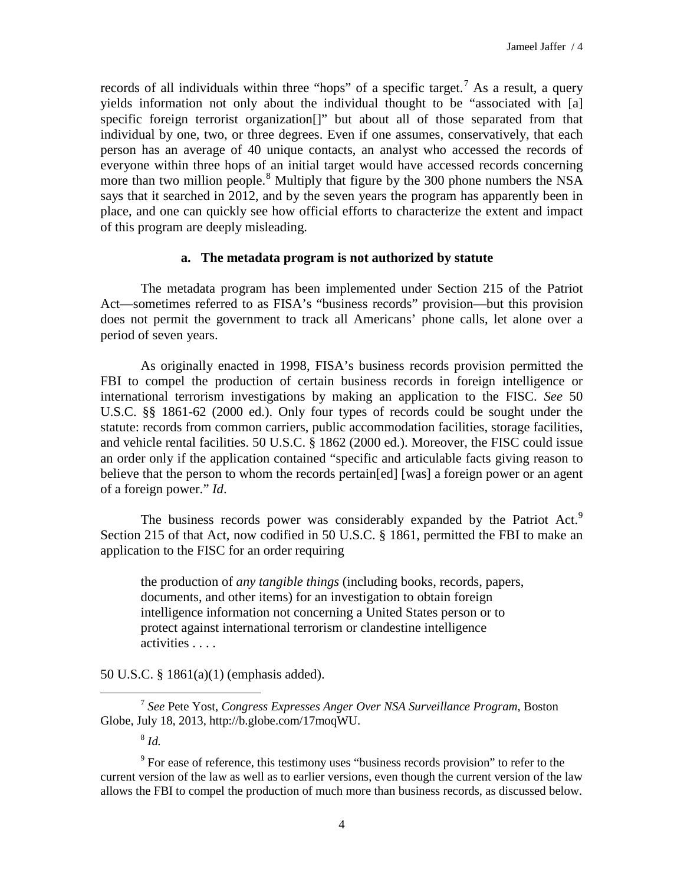records of all individuals within three "hops" of a specific target.<sup>[7](#page-3-0)</sup> As a result, a query yields information not only about the individual thought to be "associated with [a] specific foreign terrorist organization[]" but about all of those separated from that individual by one, two, or three degrees. Even if one assumes, conservatively, that each person has an average of 40 unique contacts, an analyst who accessed the records of everyone within three hops of an initial target would have accessed records concerning more than two million people.<sup>[8](#page-3-1)</sup> Multiply that figure by the 300 phone numbers the NSA says that it searched in 2012, and by the seven years the program has apparently been in place, and one can quickly see how official efforts to characterize the extent and impact of this program are deeply misleading.

# **a. The metadata program is not authorized by statute**

The metadata program has been implemented under Section 215 of the Patriot Act—sometimes referred to as FISA's "business records" provision—but this provision does not permit the government to track all Americans' phone calls, let alone over a period of seven years.

As originally enacted in 1998, FISA's business records provision permitted the FBI to compel the production of certain business records in foreign intelligence or international terrorism investigations by making an application to the FISC. *See* 50 U.S.C. §§ 1861-62 (2000 ed.). Only four types of records could be sought under the statute: records from common carriers, public accommodation facilities, storage facilities, and vehicle rental facilities. 50 U.S.C. § 1862 (2000 ed.). Moreover, the FISC could issue an order only if the application contained "specific and articulable facts giving reason to believe that the person to whom the records pertain[ed] [was] a foreign power or an agent of a foreign power." *Id*.

The business records power was considerably expanded by the Patriot Act.<sup>[9](#page-3-2)</sup> Section 215 of that Act, now codified in 50 U.S.C. § 1861, permitted the FBI to make an application to the FISC for an order requiring

the production of *any tangible things* (including books, records, papers, documents, and other items) for an investigation to obtain foreign intelligence information not concerning a United States person or to protect against international terrorism or clandestine intelligence activities . . . .

50 U.S.C. § 1861(a)(1) (emphasis added).

<span id="page-3-0"></span><sup>7</sup> *See* Pete Yost, *Congress Expresses Anger Over NSA Surveillance Program*, Boston Globe, July 18, 2013, http://b.globe.com/17moqWU.  $\overline{a}$ 

<sup>8</sup> *Id.*

<span id="page-3-2"></span><span id="page-3-1"></span><sup>9</sup> For ease of reference, this testimony uses "business records provision" to refer to the current version of the law as well as to earlier versions, even though the current version of the law allows the FBI to compel the production of much more than business records, as discussed below.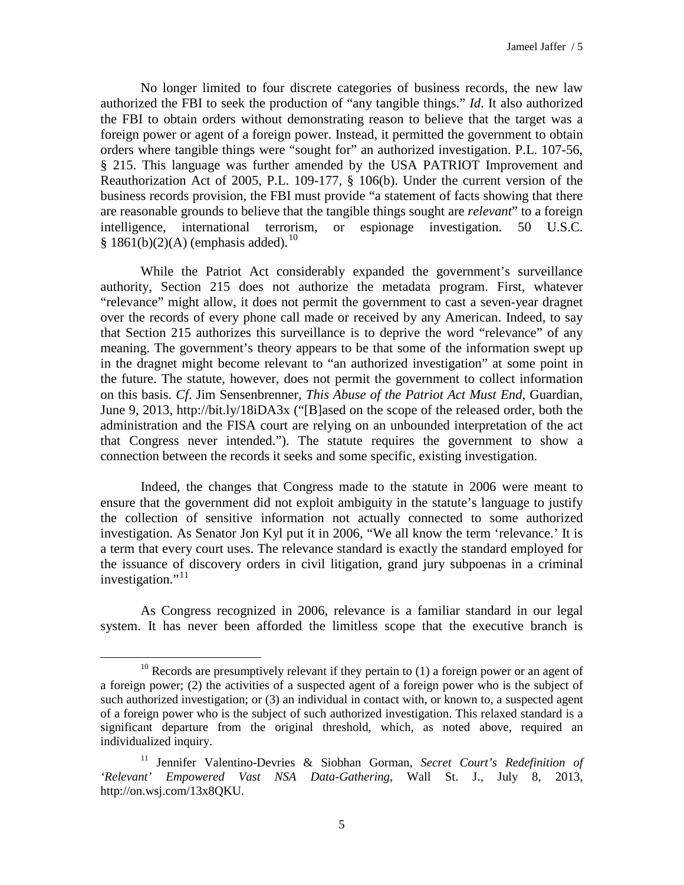No longer limited to four discrete categories of business records, the new law authorized the FBI to seek the production of "any tangible things." *Id*. It also authorized the FBI to obtain orders without demonstrating reason to believe that the target was a foreign power or agent of a foreign power. Instead, it permitted the government to obtain orders where tangible things were "sought for" an authorized investigation. P.L. 107-56, § 215. This language was further amended by the USA PATRIOT Improvement and Reauthorization Act of 2005, P.L. 109-177, § 106(b). Under the current version of the business records provision, the FBI must provide "a statement of facts showing that there are reasonable grounds to believe that the tangible things sought are *relevant*" to a foreign intelligence, international terrorism, or espionage investigation. 50 U.S.C.  $§ 1861(b)(2)(A)$  (emphasis added).<sup>[10](#page-4-0)</sup>

While the Patriot Act considerably expanded the government's surveillance authority, Section 215 does not authorize the metadata program. First, whatever "relevance" might allow, it does not permit the government to cast a seven-year dragnet over the records of every phone call made or received by any American. Indeed, to say that Section 215 authorizes this surveillance is to deprive the word "relevance" of any meaning. The government's theory appears to be that some of the information swept up in the dragnet might become relevant to "an authorized investigation" at some point in the future. The statute, however, does not permit the government to collect information on this basis. *Cf*. Jim Sensenbrenner, *This Abuse of the Patriot Act Must End*, Guardian, June 9, 2013, http://bit.ly/18iDA3x ("[B]ased on the scope of the released order, both the administration and the FISA court are relying on an unbounded interpretation of the act that Congress never intended."). The statute requires the government to show a connection between the records it seeks and some specific, existing investigation.

Indeed, the changes that Congress made to the statute in 2006 were meant to ensure that the government did not exploit ambiguity in the statute's language to justify the collection of sensitive information not actually connected to some authorized investigation. As Senator Jon Kyl put it in 2006, "We all know the term 'relevance.' It is a term that every court uses. The relevance standard is exactly the standard employed for the issuance of discovery orders in civil litigation, grand jury subpoenas in a criminal investigation."<sup>[11](#page-4-1)</sup>

As Congress recognized in 2006, relevance is a familiar standard in our legal system. It has never been afforded the limitless scope that the executive branch is

<span id="page-4-0"></span> $10$  Records are presumptively relevant if they pertain to (1) a foreign power or an agent of a foreign power; (2) the activities of a suspected agent of a foreign power who is the subject of such authorized investigation; or (3) an individual in contact with, or known to, a suspected agent of a foreign power who is the subject of such authorized investigation. This relaxed standard is a significant departure from the original threshold, which, as noted above, required an individualized inquiry.

<span id="page-4-1"></span><sup>11</sup> Jennifer Valentino-Devries & Siobhan Gorman, *Secret Court's Redefinition of 'Relevant' Empowered Vast NSA Data-Gathering*, Wall St. J., July 8, 2013, http://on.wsj.com/13x8QKU.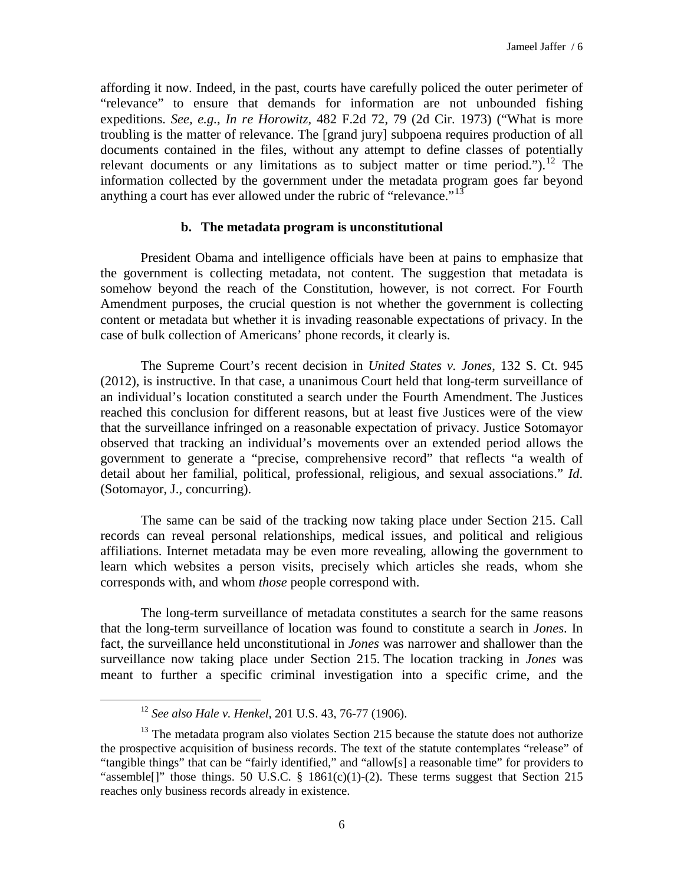affording it now. Indeed, in the past, courts have carefully policed the outer perimeter of "relevance" to ensure that demands for information are not unbounded fishing expeditions. *See, e.g.*, *In re Horowitz*, 482 F.2d 72, 79 (2d Cir. 1973) ("What is more troubling is the matter of relevance. The [grand jury] subpoena requires production of all documents contained in the files, without any attempt to define classes of potentially relevant documents or any limitations as to subject matter or time period.").<sup>[12](#page-5-0)</sup> The information collected by the government under the metadata program goes far beyond anything a court has ever allowed under the rubric of "relevance."<sup>[13](#page-5-1)</sup>

### **b. The metadata program is unconstitutional**

President Obama and intelligence officials have been at pains to emphasize that the government is collecting metadata, not content. The suggestion that metadata is somehow beyond the reach of the Constitution, however, is not correct. For Fourth Amendment purposes, the crucial question is not whether the government is collecting content or metadata but whether it is invading reasonable expectations of privacy. In the case of bulk collection of Americans' phone records, it clearly is.

The Supreme Court's recent decision in *United States v. Jones*, 132 S. Ct. 945 (2012), is instructive. In that case, a unanimous Court held that long-term surveillance of an individual's location constituted a search under the Fourth Amendment. The Justices reached this conclusion for different reasons, but at least five Justices were of the view that the surveillance infringed on a reasonable expectation of privacy. Justice Sotomayor observed that tracking an individual's movements over an extended period allows the government to generate a "precise, comprehensive record" that reflects "a wealth of detail about her familial, political, professional, religious, and sexual associations." *Id*. (Sotomayor, J., concurring).

The same can be said of the tracking now taking place under Section 215. Call records can reveal personal relationships, medical issues, and political and religious affiliations. Internet metadata may be even more revealing, allowing the government to learn which websites a person visits, precisely which articles she reads, whom she corresponds with, and whom *those* people correspond with.

The long-term surveillance of metadata constitutes a search for the same reasons that the long-term surveillance of location was found to constitute a search in *Jones*. In fact, the surveillance held unconstitutional in *Jones* was narrower and shallower than the surveillance now taking place under Section 215. The location tracking in *Jones* was meant to further a specific criminal investigation into a specific crime, and the

<sup>12</sup> *See also Hale v. Henkel*, 201 U.S. 43, 76-77 (1906).

<span id="page-5-1"></span><span id="page-5-0"></span> $13$  The metadata program also violates Section 215 because the statute does not authorize the prospective acquisition of business records. The text of the statute contemplates "release" of "tangible things" that can be "fairly identified," and "allow[s] a reasonable time" for providers to "assemble[]" those things. 50 U.S.C.  $\S$  1861(c)(1)-(2). These terms suggest that Section 215 reaches only business records already in existence.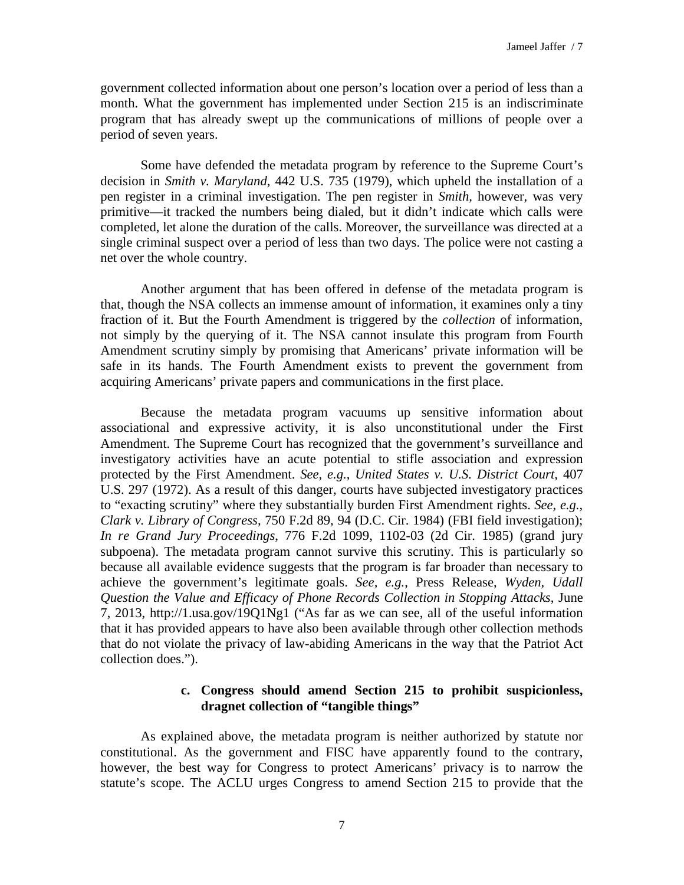government collected information about one person's location over a period of less than a month. What the government has implemented under Section 215 is an indiscriminate program that has already swept up the communications of millions of people over a period of seven years.

Some have defended the metadata program by reference to the Supreme Court's decision in *Smith v. Maryland*, 442 U.S. 735 (1979), which upheld the installation of a pen register in a criminal investigation. The pen register in *Smith,* however, was very primitive—it tracked the numbers being dialed, but it didn't indicate which calls were completed, let alone the duration of the calls. Moreover, the surveillance was directed at a single criminal suspect over a period of less than two days. The police were not casting a net over the whole country.

Another argument that has been offered in defense of the metadata program is that, though the NSA collects an immense amount of information, it examines only a tiny fraction of it. But the Fourth Amendment is triggered by the *collection* of information, not simply by the querying of it. The NSA cannot insulate this program from Fourth Amendment scrutiny simply by promising that Americans' private information will be safe in its hands. The Fourth Amendment exists to prevent the government from acquiring Americans' private papers and communications in the first place.

Because the metadata program vacuums up sensitive information about associational and expressive activity, it is also unconstitutional under the First Amendment. The Supreme Court has recognized that the government's surveillance and investigatory activities have an acute potential to stifle association and expression protected by the First Amendment. *See, e.g.*, *United States v. U.S. District Court*, 407 U.S. 297 (1972). As a result of this danger, courts have subjected investigatory practices to "exacting scrutiny" where they substantially burden First Amendment rights. *See, e.g.*, *Clark v. Library of Congress,* 750 F.2d 89, 94 (D.C. Cir. 1984) (FBI field investigation); *In re Grand Jury Proceedings*, 776 F.2d 1099, 1102-03 (2d Cir. 1985) (grand jury subpoena). The metadata program cannot survive this scrutiny. This is particularly so because all available evidence suggests that the program is far broader than necessary to achieve the government's legitimate goals. *See, e.g.*, Press Release, *Wyden, Udall Question the Value and Efficacy of Phone Records Collection in Stopping Attacks*, June 7, 2013, http://1.usa.gov/19Q1Ng1 ("As far as we can see, all of the useful information that it has provided appears to have also been available through other collection methods that do not violate the privacy of law-abiding Americans in the way that the Patriot Act collection does.").

# **c. Congress should amend Section 215 to prohibit suspicionless, dragnet collection of "tangible things"**

As explained above, the metadata program is neither authorized by statute nor constitutional. As the government and FISC have apparently found to the contrary, however, the best way for Congress to protect Americans' privacy is to narrow the statute's scope. The ACLU urges Congress to amend Section 215 to provide that the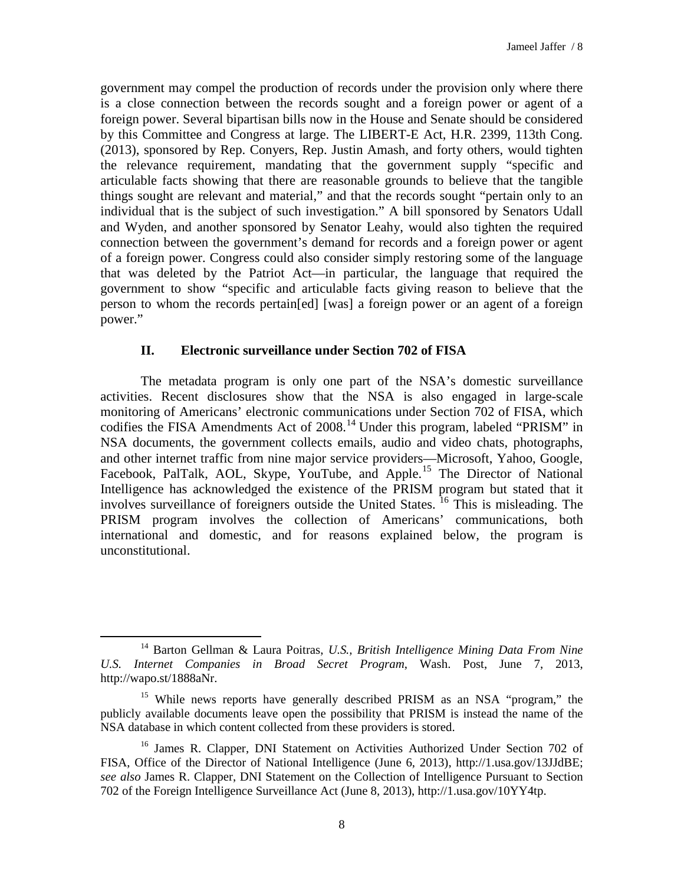government may compel the production of records under the provision only where there is a close connection between the records sought and a foreign power or agent of a foreign power. Several bipartisan bills now in the House and Senate should be considered by this Committee and Congress at large. The LIBERT-E Act, H.R. 2399, 113th Cong. (2013), sponsored by Rep. Conyers, Rep. Justin Amash, and forty others, would tighten the relevance requirement, mandating that the government supply "specific and articulable facts showing that there are reasonable grounds to believe that the tangible things sought are relevant and material," and that the records sought "pertain only to an individual that is the subject of such investigation." A bill sponsored by Senators Udall and Wyden, and another sponsored by Senator Leahy, would also tighten the required connection between the government's demand for records and a foreign power or agent of a foreign power. Congress could also consider simply restoring some of the language that was deleted by the Patriot Act—in particular, the language that required the government to show "specific and articulable facts giving reason to believe that the person to whom the records pertain[ed] [was] a foreign power or an agent of a foreign power."

# **II. Electronic surveillance under Section 702 of FISA**

The metadata program is only one part of the NSA's domestic surveillance activities. Recent disclosures show that the NSA is also engaged in large-scale monitoring of Americans' electronic communications under Section 702 of FISA, which codifies the FISA Amendments Act of 2008.<sup>[14](#page-7-0)</sup> Under this program, labeled "PRISM" in NSA documents, the government collects emails, audio and video chats, photographs, and other internet traffic from nine major service providers—Microsoft, Yahoo, Google, Facebook, PalTalk, AOL, Skype, YouTube, and Apple.<sup>[15](#page-7-1)</sup> The Director of National Intelligence has acknowledged the existence of the PRISM program but stated that it involves surveillance of foreigners outside the United States. <sup>[16](#page-7-2)</sup> This is misleading. The PRISM program involves the collection of Americans' communications, both international and domestic, and for reasons explained below, the program is unconstitutional.

<span id="page-7-0"></span><sup>14</sup> Barton Gellman & Laura Poitras, *U.S., British Intelligence Mining Data From Nine U.S. Internet Companies in Broad Secret Program*, Wash. Post, June 7, 2013, http://wapo.st/1888aNr.  $\overline{a}$ 

<span id="page-7-1"></span><sup>&</sup>lt;sup>15</sup> While news reports have generally described PRISM as an NSA "program," the publicly available documents leave open the possibility that PRISM is instead the name of the NSA database in which content collected from these providers is stored.

<span id="page-7-2"></span><sup>&</sup>lt;sup>16</sup> James R. Clapper, DNI Statement on Activities Authorized Under Section 702 of FISA, Office of the Director of National Intelligence (June 6, 2013), http://1.usa.gov/13JJdBE; *see also* James R. Clapper, DNI Statement on the Collection of Intelligence Pursuant to Section 702 of the Foreign Intelligence Surveillance Act (June 8, 2013), http://1.usa.gov/10YY4tp.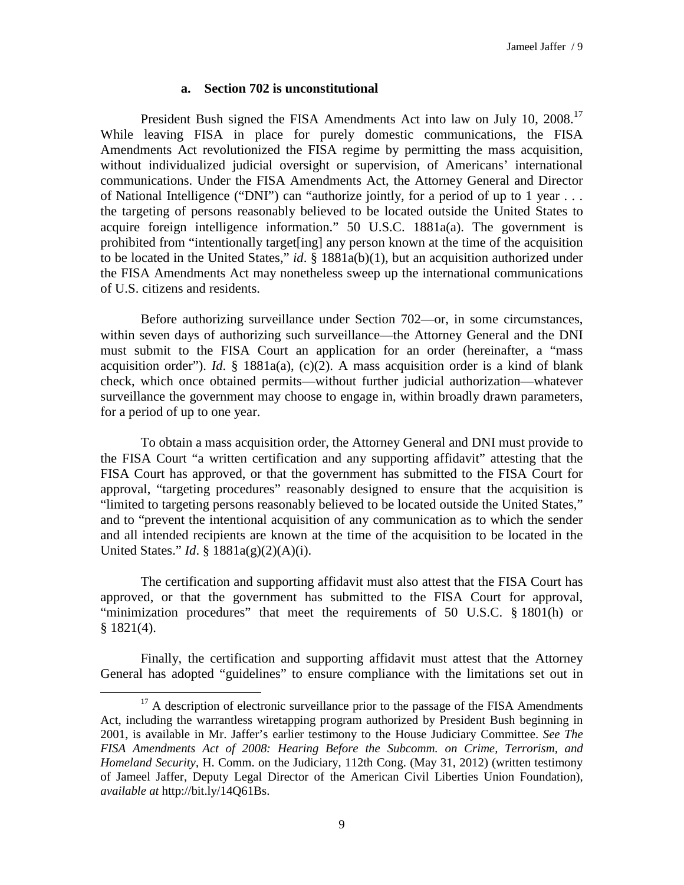### **a. Section 702 is unconstitutional**

President Bush signed the FISA Amendments Act into law on July 10, 2008.<sup>[17](#page-8-0)</sup> While leaving FISA in place for purely domestic communications, the FISA Amendments Act revolutionized the FISA regime by permitting the mass acquisition, without individualized judicial oversight or supervision, of Americans' international communications. Under the FISA Amendments Act, the Attorney General and Director of National Intelligence ("DNI") can "authorize jointly, for a period of up to 1 year . . . the targeting of persons reasonably believed to be located outside the United States to acquire foreign intelligence information." 50 U.S.C. 1881a(a). The government is prohibited from "intentionally target[ing] any person known at the time of the acquisition to be located in the United States," *id*. § 1881a(b)(1), but an acquisition authorized under the FISA Amendments Act may nonetheless sweep up the international communications of U.S. citizens and residents.

Before authorizing surveillance under Section 702—or, in some circumstances, within seven days of authorizing such surveillance—the Attorney General and the DNI must submit to the FISA Court an application for an order (hereinafter, a "mass acquisition order"). *Id*. § 1881a(a), (c)(2). A mass acquisition order is a kind of blank check, which once obtained permits—without further judicial authorization—whatever surveillance the government may choose to engage in, within broadly drawn parameters, for a period of up to one year.

To obtain a mass acquisition order, the Attorney General and DNI must provide to the FISA Court "a written certification and any supporting affidavit" attesting that the FISA Court has approved, or that the government has submitted to the FISA Court for approval, "targeting procedures" reasonably designed to ensure that the acquisition is "limited to targeting persons reasonably believed to be located outside the United States," and to "prevent the intentional acquisition of any communication as to which the sender and all intended recipients are known at the time of the acquisition to be located in the United States." *Id*. § 1881a(g)(2)(A)(i).

The certification and supporting affidavit must also attest that the FISA Court has approved, or that the government has submitted to the FISA Court for approval, "minimization procedures" that meet the requirements of 50 U.S.C. § 1801(h) or § 1821(4).

Finally, the certification and supporting affidavit must attest that the Attorney General has adopted "guidelines" to ensure compliance with the limitations set out in

<span id="page-8-0"></span> $17$  A description of electronic surveillance prior to the passage of the FISA Amendments Act, including the warrantless wiretapping program authorized by President Bush beginning in 2001, is available in Mr. Jaffer's earlier testimony to the House Judiciary Committee. *See The FISA Amendments Act of 2008: Hearing Before the Subcomm. on Crime, Terrorism, and Homeland Security*, H. Comm. on the Judiciary, 112th Cong. (May 31, 2012) (written testimony of Jameel Jaffer, Deputy Legal Director of the American Civil Liberties Union Foundation), *available at* http://bit.ly/14Q61Bs.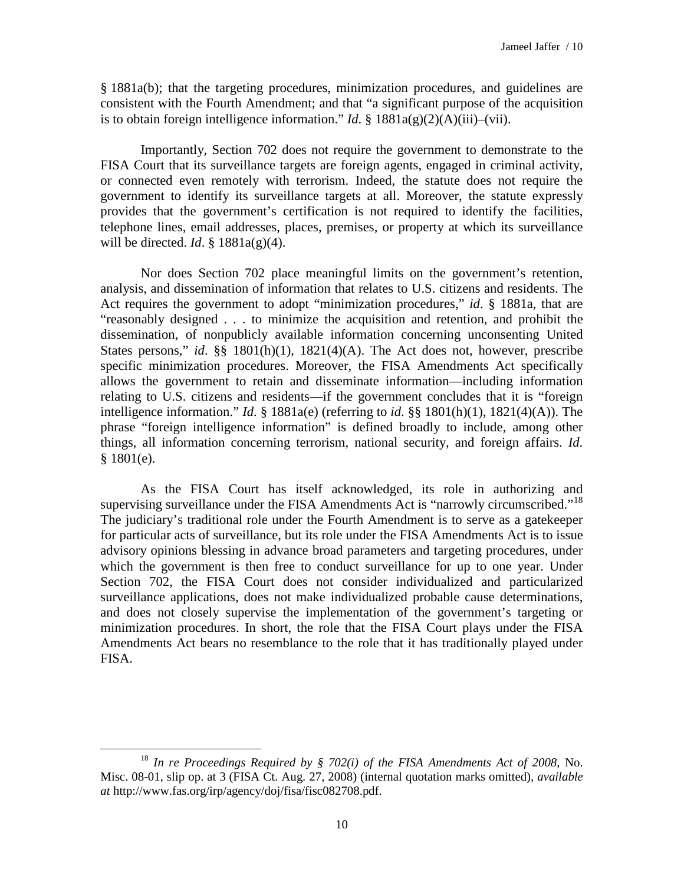§ 1881a(b); that the targeting procedures, minimization procedures, and guidelines are consistent with the Fourth Amendment; and that "a significant purpose of the acquisition is to obtain foreign intelligence information." *Id.*  $\S$  1881a(g)(2)(A)(iii)–(vii).

Importantly, Section 702 does not require the government to demonstrate to the FISA Court that its surveillance targets are foreign agents, engaged in criminal activity, or connected even remotely with terrorism. Indeed, the statute does not require the government to identify its surveillance targets at all. Moreover, the statute expressly provides that the government's certification is not required to identify the facilities, telephone lines, email addresses, places, premises, or property at which its surveillance will be directed. *Id*. § 1881a(g)(4).

Nor does Section 702 place meaningful limits on the government's retention, analysis, and dissemination of information that relates to U.S. citizens and residents. The Act requires the government to adopt "minimization procedures," *id*. § 1881a, that are "reasonably designed . . . to minimize the acquisition and retention, and prohibit the dissemination, of nonpublicly available information concerning unconsenting United States persons," *id*. §§ 1801(h)(1), 1821(4)(A). The Act does not, however, prescribe specific minimization procedures. Moreover, the FISA Amendments Act specifically allows the government to retain and disseminate information—including information relating to U.S. citizens and residents—if the government concludes that it is "foreign intelligence information." *Id*. § 1881a(e) (referring to *id*. §§ 1801(h)(1), 1821(4)(A)). The phrase "foreign intelligence information" is defined broadly to include, among other things, all information concerning terrorism, national security, and foreign affairs. *Id*.  $§ 1801(e).$ 

As the FISA Court has itself acknowledged, its role in authorizing and supervising surveillance under the FISA Amendments Act is "narrowly circumscribed."<sup>[18](#page-9-0)</sup> The judiciary's traditional role under the Fourth Amendment is to serve as a gatekeeper for particular acts of surveillance, but its role under the FISA Amendments Act is to issue advisory opinions blessing in advance broad parameters and targeting procedures, under which the government is then free to conduct surveillance for up to one year. Under Section 702, the FISA Court does not consider individualized and particularized surveillance applications, does not make individualized probable cause determinations, and does not closely supervise the implementation of the government's targeting or minimization procedures. In short, the role that the FISA Court plays under the FISA Amendments Act bears no resemblance to the role that it has traditionally played under FISA.

<span id="page-9-0"></span><sup>18</sup> *In re Proceedings Required by § 702(i) of the FISA Amendments Act of 2008*, No. Misc. 08-01, slip op. at 3 (FISA Ct. Aug. 27, 2008) (internal quotation marks omitted), *available at* http://www.fas.org/irp/agency/doj/fisa/fisc082708.pdf.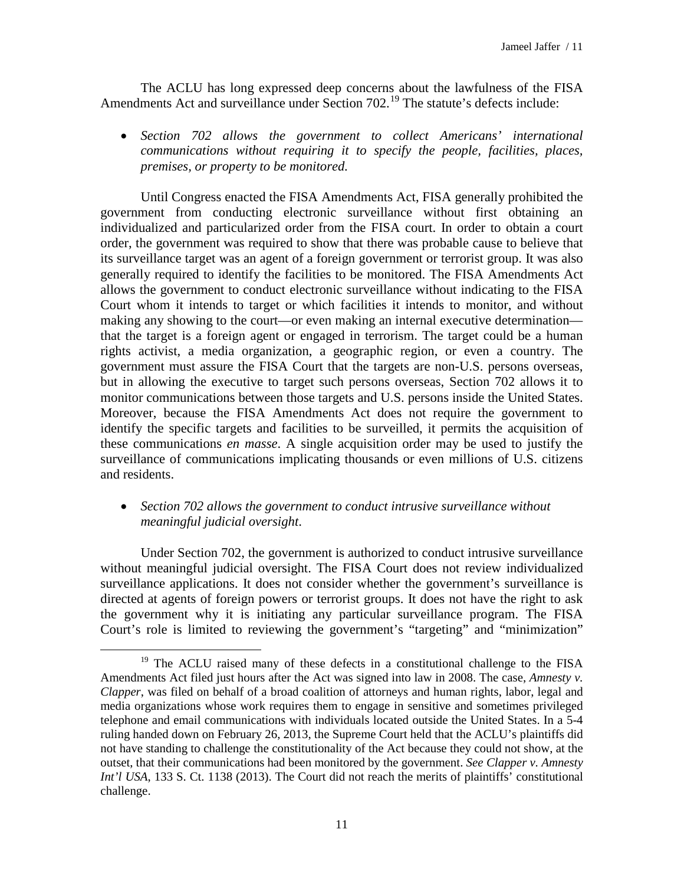The ACLU has long expressed deep concerns about the lawfulness of the FISA Amendments Act and surveillance under Section  $702<sup>19</sup>$  $702<sup>19</sup>$  $702<sup>19</sup>$  The statute's defects include:

• *Section 702 allows the government to collect Americans' international communications without requiring it to specify the people, facilities, places, premises, or property to be monitored.*

Until Congress enacted the FISA Amendments Act, FISA generally prohibited the government from conducting electronic surveillance without first obtaining an individualized and particularized order from the FISA court. In order to obtain a court order, the government was required to show that there was probable cause to believe that its surveillance target was an agent of a foreign government or terrorist group. It was also generally required to identify the facilities to be monitored. The FISA Amendments Act allows the government to conduct electronic surveillance without indicating to the FISA Court whom it intends to target or which facilities it intends to monitor, and without making any showing to the court—or even making an internal executive determination that the target is a foreign agent or engaged in terrorism. The target could be a human rights activist, a media organization, a geographic region, or even a country. The government must assure the FISA Court that the targets are non-U.S. persons overseas, but in allowing the executive to target such persons overseas, Section 702 allows it to monitor communications between those targets and U.S. persons inside the United States. Moreover, because the FISA Amendments Act does not require the government to identify the specific targets and facilities to be surveilled, it permits the acquisition of these communications *en masse*. A single acquisition order may be used to justify the surveillance of communications implicating thousands or even millions of U.S. citizens and residents.

# • *Section 702 allows the government to conduct intrusive surveillance without meaningful judicial oversight*.

Under Section 702, the government is authorized to conduct intrusive surveillance without meaningful judicial oversight. The FISA Court does not review individualized surveillance applications. It does not consider whether the government's surveillance is directed at agents of foreign powers or terrorist groups. It does not have the right to ask the government why it is initiating any particular surveillance program. The FISA Court's role is limited to reviewing the government's "targeting" and "minimization"

<span id="page-10-0"></span><sup>&</sup>lt;sup>19</sup> The ACLU raised many of these defects in a constitutional challenge to the FISA Amendments Act filed just hours after the Act was signed into law in 2008. The case, *Amnesty v. Clapper*, was filed on behalf of a broad coalition of attorneys and human rights, labor, legal and media organizations whose work requires them to engage in sensitive and sometimes privileged telephone and email communications with individuals located outside the United States. In a 5-4 ruling handed down on February 26, 2013, the Supreme Court held that the ACLU's plaintiffs did not have standing to challenge the constitutionality of the Act because they could not show, at the outset, that their communications had been monitored by the government. *See Clapper v. Amnesty Int'l USA*, 133 S. Ct. 1138 (2013). The Court did not reach the merits of plaintiffs' constitutional challenge.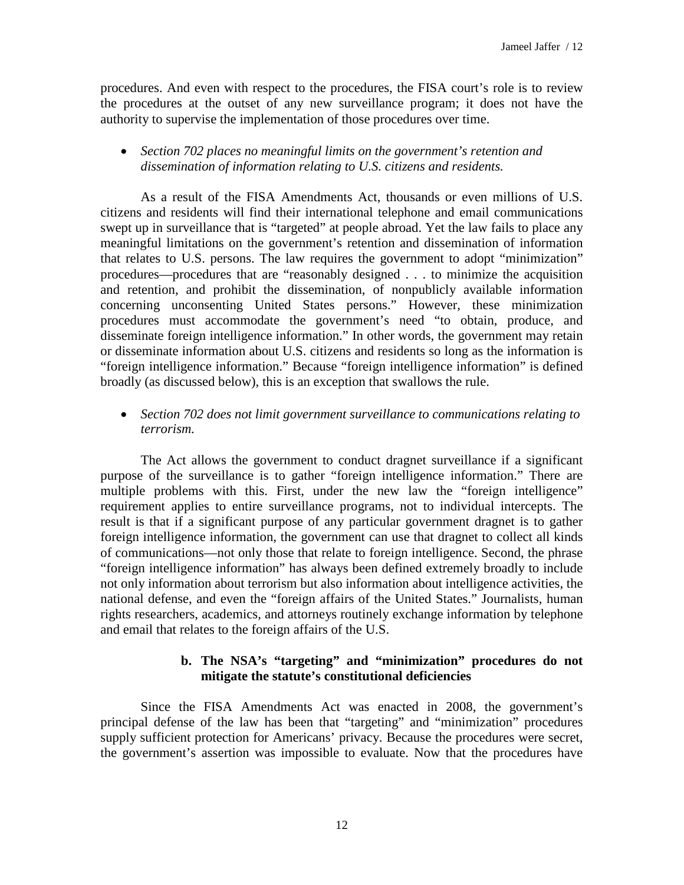procedures. And even with respect to the procedures, the FISA court's role is to review the procedures at the outset of any new surveillance program; it does not have the authority to supervise the implementation of those procedures over time.

• *Section 702 places no meaningful limits on the government's retention and dissemination of information relating to U.S. citizens and residents.* 

As a result of the FISA Amendments Act, thousands or even millions of U.S. citizens and residents will find their international telephone and email communications swept up in surveillance that is "targeted" at people abroad. Yet the law fails to place any meaningful limitations on the government's retention and dissemination of information that relates to U.S. persons. The law requires the government to adopt "minimization" procedures—procedures that are "reasonably designed . . . to minimize the acquisition and retention, and prohibit the dissemination, of nonpublicly available information concerning unconsenting United States persons." However, these minimization procedures must accommodate the government's need "to obtain, produce, and disseminate foreign intelligence information." In other words, the government may retain or disseminate information about U.S. citizens and residents so long as the information is "foreign intelligence information." Because "foreign intelligence information" is defined broadly (as discussed below), this is an exception that swallows the rule.

## • *Section 702 does not limit government surveillance to communications relating to terrorism.*

The Act allows the government to conduct dragnet surveillance if a significant purpose of the surveillance is to gather "foreign intelligence information." There are multiple problems with this. First, under the new law the "foreign intelligence" requirement applies to entire surveillance programs, not to individual intercepts. The result is that if a significant purpose of any particular government dragnet is to gather foreign intelligence information, the government can use that dragnet to collect all kinds of communications—not only those that relate to foreign intelligence. Second, the phrase "foreign intelligence information" has always been defined extremely broadly to include not only information about terrorism but also information about intelligence activities, the national defense, and even the "foreign affairs of the United States." Journalists, human rights researchers, academics, and attorneys routinely exchange information by telephone and email that relates to the foreign affairs of the U.S.

# **b. The NSA's "targeting" and "minimization" procedures do not mitigate the statute's constitutional deficiencies**

Since the FISA Amendments Act was enacted in 2008, the government's principal defense of the law has been that "targeting" and "minimization" procedures supply sufficient protection for Americans' privacy. Because the procedures were secret, the government's assertion was impossible to evaluate. Now that the procedures have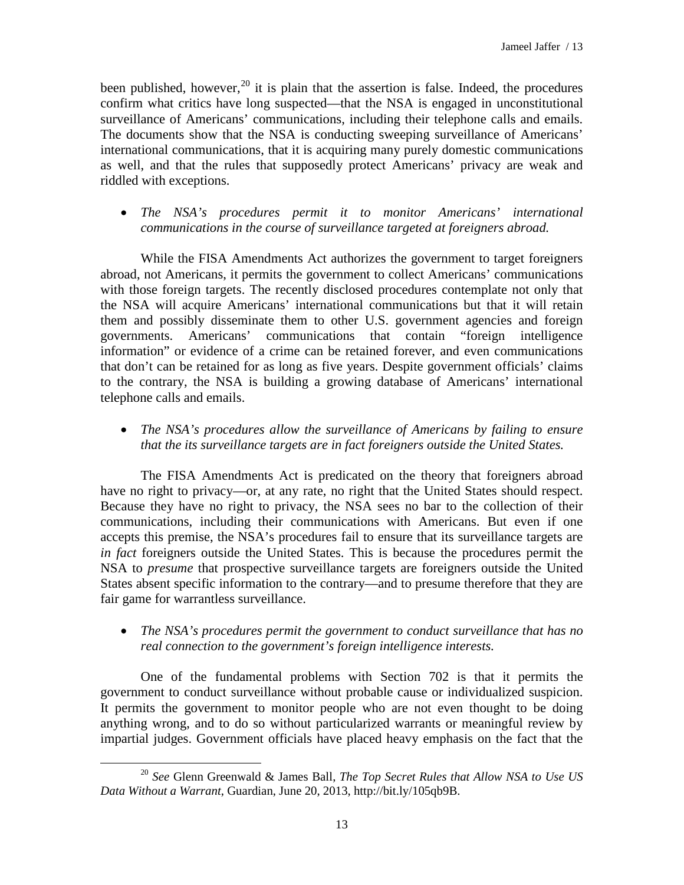been published, however,  $20$  it is plain that the assertion is false. Indeed, the procedures confirm what critics have long suspected—that the NSA is engaged in unconstitutional surveillance of Americans' communications, including their telephone calls and emails. The documents show that the NSA is conducting sweeping surveillance of Americans' international communications, that it is acquiring many purely domestic communications as well, and that the rules that supposedly protect Americans' privacy are weak and riddled with exceptions.

• *The NSA's procedures permit it to monitor Americans' international communications in the course of surveillance targeted at foreigners abroad.*

While the FISA Amendments Act authorizes the government to target foreigners abroad, not Americans, it permits the government to collect Americans' communications with those foreign targets. The recently disclosed procedures contemplate not only that the NSA will acquire Americans' international communications but that it will retain them and possibly disseminate them to other U.S. government agencies and foreign governments. Americans' communications that contain "foreign intelligence information" or evidence of a crime can be retained forever, and even communications that don't can be retained for as long as five years. Despite government officials' claims to the contrary, the NSA is building a growing database of Americans' international telephone calls and emails.

• *The NSA's procedures allow the surveillance of Americans by failing to ensure that the its surveillance targets are in fact foreigners outside the United States.*

The FISA Amendments Act is predicated on the theory that foreigners abroad have no right to privacy—or, at any rate, no right that the United States should respect. Because they have no right to privacy, the NSA sees no bar to the collection of their communications, including their communications with Americans. But even if one accepts this premise, the NSA's procedures fail to ensure that its surveillance targets are *in fact* foreigners outside the United States. This is because the procedures permit the NSA to *presume* that prospective surveillance targets are foreigners outside the United States absent specific information to the contrary—and to presume therefore that they are fair game for warrantless surveillance.

• *The NSA's procedures permit the government to conduct surveillance that has no real connection to the government's foreign intelligence interests.*

One of the fundamental problems with Section 702 is that it permits the government to conduct surveillance without probable cause or individualized suspicion. It permits the government to monitor people who are not even thought to be doing anything wrong, and to do so without particularized warrants or meaningful review by impartial judges. Government officials have placed heavy emphasis on the fact that the

<span id="page-12-0"></span><sup>20</sup> *See* Glenn Greenwald & James Ball, *The Top Secret Rules that Allow NSA to Use US Data Without a Warrant*, Guardian, June 20, 2013, http://bit.ly/105qb9B.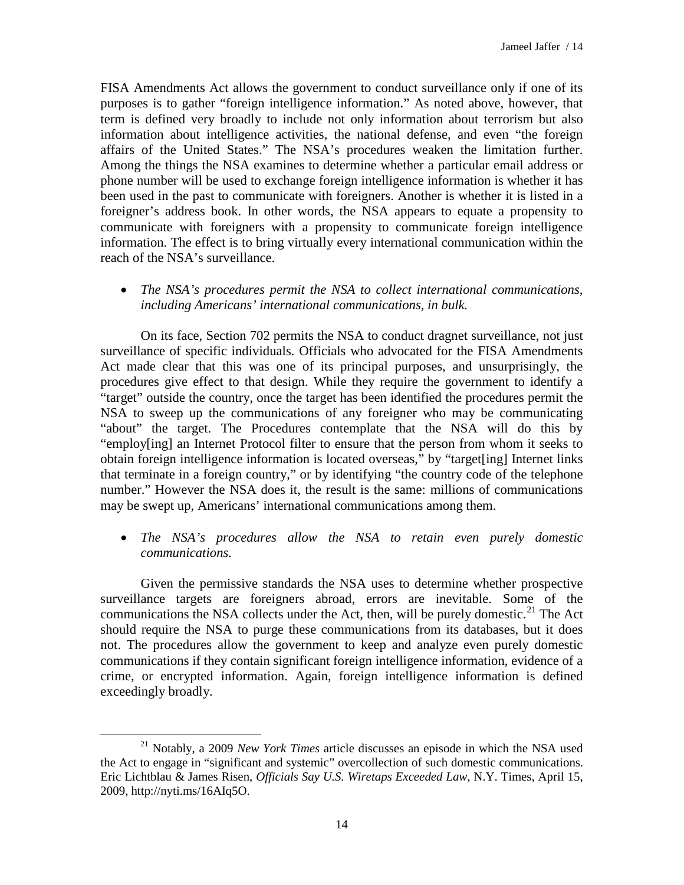FISA Amendments Act allows the government to conduct surveillance only if one of its purposes is to gather "foreign intelligence information." As noted above, however, that term is defined very broadly to include not only information about terrorism but also information about intelligence activities, the national defense, and even "the foreign affairs of the United States." The NSA's procedures weaken the limitation further. Among the things the NSA examines to determine whether a particular email address or phone number will be used to exchange foreign intelligence information is whether it has been used in the past to communicate with foreigners. Another is whether it is listed in a foreigner's address book. In other words, the NSA appears to equate a propensity to communicate with foreigners with a propensity to communicate foreign intelligence information. The effect is to bring virtually every international communication within the reach of the NSA's surveillance.

• *The NSA's procedures permit the NSA to collect international communications, including Americans' international communications, in bulk.*

On its face, Section 702 permits the NSA to conduct dragnet surveillance, not just surveillance of specific individuals. Officials who advocated for the FISA Amendments Act made clear that this was one of its principal purposes, and unsurprisingly, the procedures give effect to that design. While they require the government to identify a "target" outside the country, once the target has been identified the procedures permit the NSA to sweep up the communications of any foreigner who may be communicating "about" the target. The Procedures contemplate that the NSA will do this by "employ[ing] an Internet Protocol filter to ensure that the person from whom it seeks to obtain foreign intelligence information is located overseas," by "target[ing] Internet links that terminate in a foreign country," or by identifying "the country code of the telephone number." However the NSA does it, the result is the same: millions of communications may be swept up, Americans' international communications among them.

• *The NSA's procedures allow the NSA to retain even purely domestic communications.*

Given the permissive standards the NSA uses to determine whether prospective surveillance targets are foreigners abroad, errors are inevitable. Some of the communications the NSA collects under the Act, then, will be purely domestic.<sup>[21](#page-13-0)</sup> The Act should require the NSA to purge these communications from its databases, but it does not. The procedures allow the government to keep and analyze even purely domestic communications if they contain significant foreign intelligence information, evidence of a crime, or encrypted information. Again, foreign intelligence information is defined exceedingly broadly.

<span id="page-13-0"></span><sup>21</sup> Notably, a 2009 *New York Times* article discusses an episode in which the NSA used the Act to engage in "significant and systemic" overcollection of such domestic communications. Eric Lichtblau & James Risen, *Officials Say U.S. Wiretaps Exceeded Law*, N.Y. Times, April 15, 2009, http://nyti.ms/16AIq5O.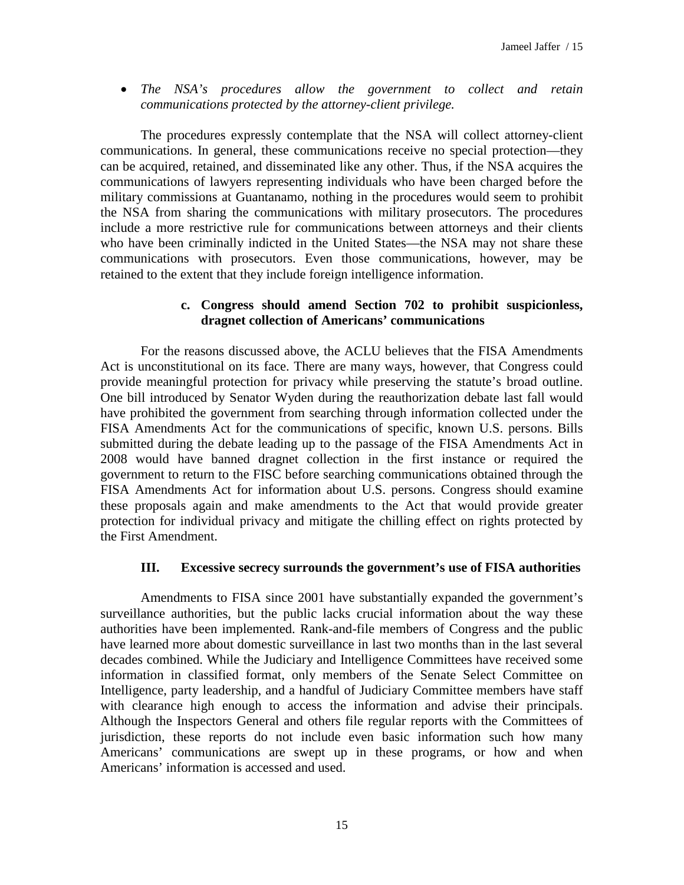• *The NSA's procedures allow the government to collect and retain communications protected by the attorney-client privilege.*

The procedures expressly contemplate that the NSA will collect attorney-client communications. In general, these communications receive no special protection—they can be acquired, retained, and disseminated like any other. Thus, if the NSA acquires the communications of lawyers representing individuals who have been charged before the military commissions at Guantanamo, nothing in the procedures would seem to prohibit the NSA from sharing the communications with military prosecutors. The procedures include a more restrictive rule for communications between attorneys and their clients who have been criminally indicted in the United States—the NSA may not share these communications with prosecutors. Even those communications, however, may be retained to the extent that they include foreign intelligence information.

### **c. Congress should amend Section 702 to prohibit suspicionless, dragnet collection of Americans' communications**

For the reasons discussed above, the ACLU believes that the FISA Amendments Act is unconstitutional on its face. There are many ways, however, that Congress could provide meaningful protection for privacy while preserving the statute's broad outline. One bill introduced by Senator Wyden during the reauthorization debate last fall would have prohibited the government from searching through information collected under the FISA Amendments Act for the communications of specific, known U.S. persons. Bills submitted during the debate leading up to the passage of the FISA Amendments Act in 2008 would have banned dragnet collection in the first instance or required the government to return to the FISC before searching communications obtained through the FISA Amendments Act for information about U.S. persons. Congress should examine these proposals again and make amendments to the Act that would provide greater protection for individual privacy and mitigate the chilling effect on rights protected by the First Amendment.

#### **III. Excessive secrecy surrounds the government's use of FISA authorities**

Amendments to FISA since 2001 have substantially expanded the government's surveillance authorities, but the public lacks crucial information about the way these authorities have been implemented. Rank-and-file members of Congress and the public have learned more about domestic surveillance in last two months than in the last several decades combined. While the Judiciary and Intelligence Committees have received some information in classified format, only members of the Senate Select Committee on Intelligence, party leadership, and a handful of Judiciary Committee members have staff with clearance high enough to access the information and advise their principals. Although the Inspectors General and others file regular reports with the Committees of jurisdiction, these reports do not include even basic information such how many Americans' communications are swept up in these programs, or how and when Americans' information is accessed and used.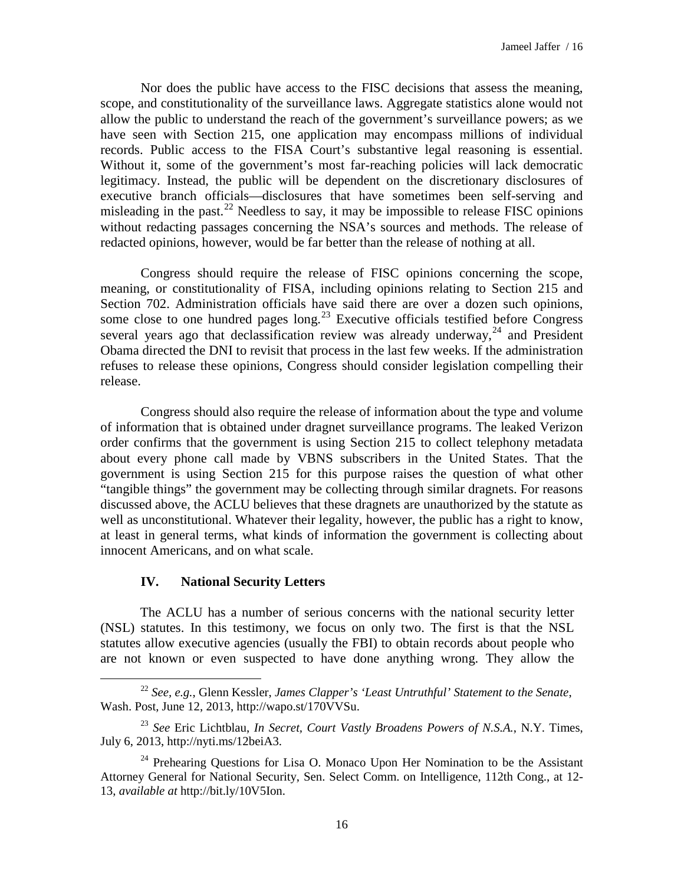Nor does the public have access to the FISC decisions that assess the meaning, scope, and constitutionality of the surveillance laws. Aggregate statistics alone would not allow the public to understand the reach of the government's surveillance powers; as we have seen with Section 215, one application may encompass millions of individual records. Public access to the FISA Court's substantive legal reasoning is essential. Without it, some of the government's most far-reaching policies will lack democratic legitimacy. Instead, the public will be dependent on the discretionary disclosures of executive branch officials—disclosures that have sometimes been self-serving and misleading in the past.<sup>[22](#page-15-0)</sup> Needless to say, it may be impossible to release FISC opinions without redacting passages concerning the NSA's sources and methods. The release of redacted opinions, however, would be far better than the release of nothing at all.

Congress should require the release of FISC opinions concerning the scope, meaning, or constitutionality of FISA, including opinions relating to Section 215 and Section 702. Administration officials have said there are over a dozen such opinions, some close to one hundred pages long.<sup>[23](#page-15-1)</sup> Executive officials testified before Congress several years ago that declassification review was already underway,<sup>[24](#page-15-2)</sup> and President Obama directed the DNI to revisit that process in the last few weeks. If the administration refuses to release these opinions, Congress should consider legislation compelling their release.

Congress should also require the release of information about the type and volume of information that is obtained under dragnet surveillance programs. The leaked Verizon order confirms that the government is using Section 215 to collect telephony metadata about every phone call made by VBNS subscribers in the United States. That the government is using Section 215 for this purpose raises the question of what other "tangible things" the government may be collecting through similar dragnets. For reasons discussed above, the ACLU believes that these dragnets are unauthorized by the statute as well as unconstitutional. Whatever their legality, however, the public has a right to know, at least in general terms, what kinds of information the government is collecting about innocent Americans, and on what scale.

#### **IV. National Security Letters**

 $\overline{a}$ 

The ACLU has a number of serious concerns with the national security letter (NSL) statutes. In this testimony, we focus on only two. The first is that the NSL statutes allow executive agencies (usually the FBI) to obtain records about people who are not known or even suspected to have done anything wrong. They allow the

<span id="page-15-0"></span><sup>22</sup> *See, e.g.*, Glenn Kessler, *James Clapper's 'Least Untruthful' Statement to the Senate*, Wash. Post, June 12, 2013, http://wapo.st/170VVSu.

<span id="page-15-1"></span><sup>23</sup> *See* Eric Lichtblau, *In Secret, Court Vastly Broadens Powers of N.S.A.*, N.Y. Times, July 6, 2013, http://nyti.ms/12beiA3.

<span id="page-15-2"></span><sup>&</sup>lt;sup>24</sup> Prehearing Questions for Lisa O. Monaco Upon Her Nomination to be the Assistant Attorney General for National Security, Sen. Select Comm. on Intelligence, 112th Cong., at 12- 13, *available at* http://bit.ly/10V5Ion.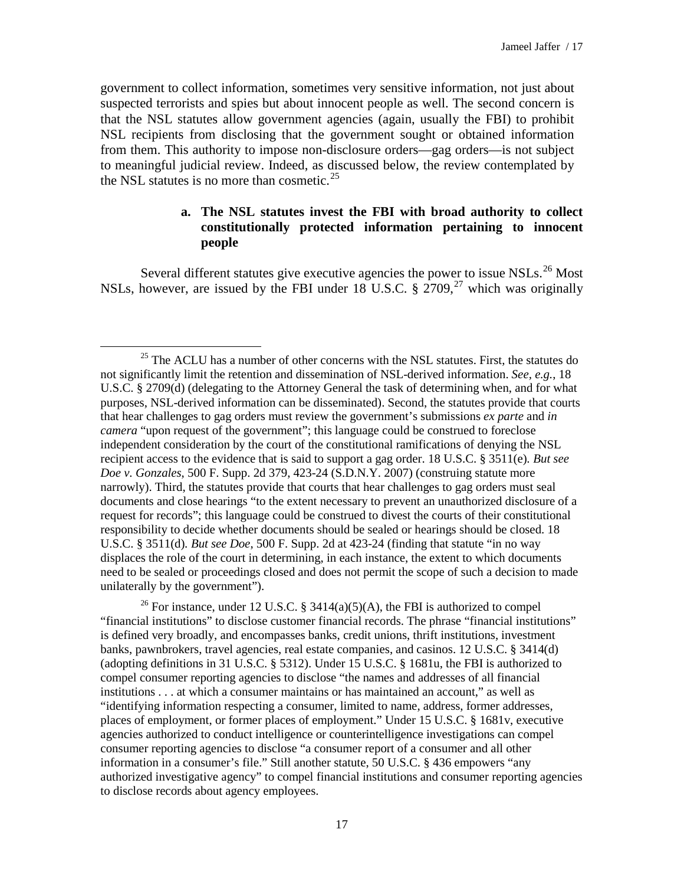government to collect information, sometimes very sensitive information, not just about suspected terrorists and spies but about innocent people as well. The second concern is that the NSL statutes allow government agencies (again, usually the FBI) to prohibit NSL recipients from disclosing that the government sought or obtained information from them. This authority to impose non-disclosure orders—gag orders—is not subject to meaningful judicial review. Indeed, as discussed below, the review contemplated by the NSL statutes is no more than cosmetic. $25$ 

# **a. The NSL statutes invest the FBI with broad authority to collect constitutionally protected information pertaining to innocent people**

Several different statutes give executive agencies the power to issue NSLs.<sup>[26](#page-16-1)</sup> Most NSLs, however, are issued by the FBI under 18 U.S.C.  $\S 2709$  $\S 2709$  $\S 2709$ ,  $27$  which was originally

 $\overline{a}$ 

<span id="page-16-2"></span><span id="page-16-1"></span><sup>26</sup> For instance, under 12 U.S.C. § 3414(a)(5)(A), the FBI is authorized to compel "financial institutions" to disclose customer financial records. The phrase "financial institutions" is defined very broadly, and encompasses banks, credit unions, thrift institutions, investment banks, pawnbrokers, travel agencies, real estate companies, and casinos. 12 U.S.C. § 3414(d) (adopting definitions in 31 U.S.C. § 5312). Under 15 U.S.C. § 1681u, the FBI is authorized to compel consumer reporting agencies to disclose "the names and addresses of all financial institutions . . . at which a consumer maintains or has maintained an account," as well as "identifying information respecting a consumer, limited to name, address, former addresses, places of employment, or former places of employment." Under 15 U.S.C. § 1681v, executive agencies authorized to conduct intelligence or counterintelligence investigations can compel consumer reporting agencies to disclose "a consumer report of a consumer and all other information in a consumer's file." Still another statute, 50 U.S.C. § 436 empowers "any authorized investigative agency" to compel financial institutions and consumer reporting agencies to disclose records about agency employees.

<span id="page-16-0"></span> $25$  The ACLU has a number of other concerns with the NSL statutes. First, the statutes do not significantly limit the retention and dissemination of NSL-derived information. *See, e.g.*, 18 U.S.C. § 2709(d) (delegating to the Attorney General the task of determining when, and for what purposes, NSL-derived information can be disseminated). Second, the statutes provide that courts that hear challenges to gag orders must review the government's submissions *ex parte* and *in camera* "upon request of the government"; this language could be construed to foreclose independent consideration by the court of the constitutional ramifications of denying the NSL recipient access to the evidence that is said to support a gag order. 18 U.S.C. § 3511(e)*. But see Doe v. Gonzales*, 500 F. Supp. 2d 379, 423-24 (S.D.N.Y. 2007) (construing statute more narrowly). Third, the statutes provide that courts that hear challenges to gag orders must seal documents and close hearings "to the extent necessary to prevent an unauthorized disclosure of a request for records"; this language could be construed to divest the courts of their constitutional responsibility to decide whether documents should be sealed or hearings should be closed. 18 U.S.C. § 3511(d)*. But see Doe*, 500 F. Supp. 2d at 423-24 (finding that statute "in no way displaces the role of the court in determining, in each instance, the extent to which documents need to be sealed or proceedings closed and does not permit the scope of such a decision to made unilaterally by the government").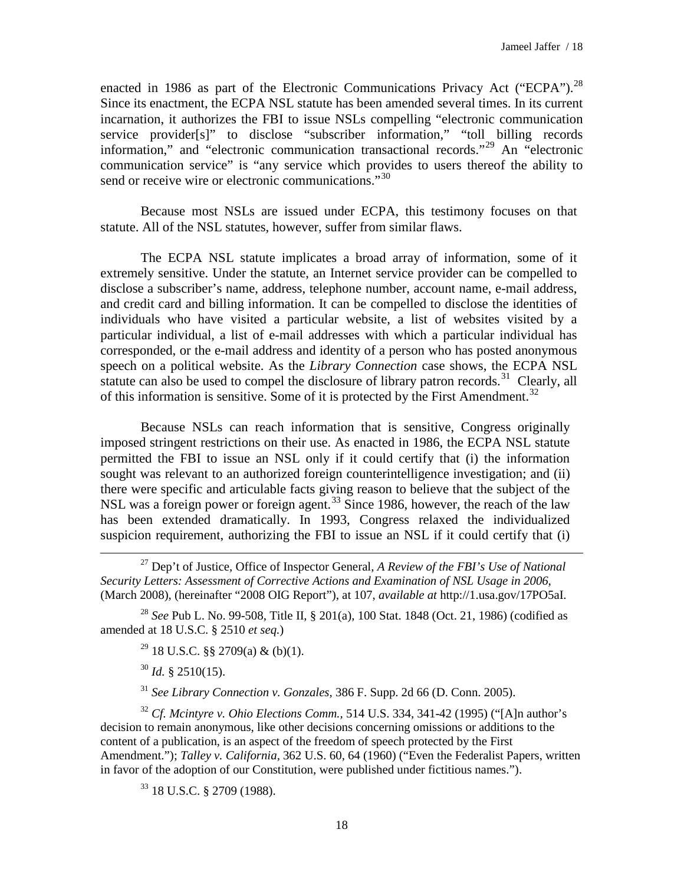enacted in 1986 as part of the Electronic Communications Privacy Act ("ECPA").<sup>[28](#page-17-0)</sup> Since its enactment, the ECPA NSL statute has been amended several times. In its current incarnation, it authorizes the FBI to issue NSLs compelling "electronic communication service provider[s]" to disclose "subscriber information," "toll billing records information," and "electronic communication transactional records."[29](#page-17-1) An "electronic communication service" is "any service which provides to users thereof the ability to send or receive wire or electronic communications."<sup>[30](#page-17-2)</sup>

Because most NSLs are issued under ECPA, this testimony focuses on that statute. All of the NSL statutes, however, suffer from similar flaws.

The ECPA NSL statute implicates a broad array of information, some of it extremely sensitive. Under the statute, an Internet service provider can be compelled to disclose a subscriber's name, address, telephone number, account name, e-mail address, and credit card and billing information. It can be compelled to disclose the identities of individuals who have visited a particular website, a list of websites visited by a particular individual, a list of e-mail addresses with which a particular individual has corresponded, or the e-mail address and identity of a person who has posted anonymous speech on a political website. As the *Library Connection* case shows, the ECPA NSL statute can also be used to compel the disclosure of library patron records.<sup>[31](#page-17-3)</sup> Clearly, all of this information is sensitive. Some of it is protected by the First Amendment.<sup>[32](#page-17-4)</sup>

Because NSLs can reach information that is sensitive, Congress originally imposed stringent restrictions on their use. As enacted in 1986, the ECPA NSL statute permitted the FBI to issue an NSL only if it could certify that (i) the information sought was relevant to an authorized foreign counterintelligence investigation; and (ii) there were specific and articulable facts giving reason to believe that the subject of the NSL was a foreign power or foreign agent.<sup>[33](#page-17-5)</sup> Since 1986, however, the reach of the law has been extended dramatically. In 1993, Congress relaxed the individualized suspicion requirement, authorizing the FBI to issue an NSL if it could certify that (i)

<sup>27</sup> Dep't of Justice, Office of Inspector General, *A Review of the FBI's Use of National Security Letters: Assessment of Corrective Actions and Examination of NSL Usage in 2006*, (March 2008), (hereinafter "2008 OIG Report"), at 107, *available at* http://1.usa.gov/17PO5aI.

<span id="page-17-1"></span><span id="page-17-0"></span><sup>28</sup> *See* Pub L. No. 99-508, Title II, § 201(a), 100 Stat. 1848 (Oct. 21, 1986) (codified as amended at 18 U.S.C. § 2510 *et seq.*)

 $^{29}$  18 U.S.C. §§ 2709(a) & (b)(1).

<sup>30</sup> *Id.* § 2510(15).

 $\overline{a}$ 

<sup>31</sup> *See Library Connection v. Gonzales,* 386 F. Supp. 2d 66 (D. Conn. 2005).

<span id="page-17-5"></span><span id="page-17-4"></span><span id="page-17-3"></span><span id="page-17-2"></span><sup>32</sup> *Cf. Mcintyre v. Ohio Elections Comm.,* 514 U.S. 334, 341-42 (1995) ("[A]n author's decision to remain anonymous, like other decisions concerning omissions or additions to the content of a publication, is an aspect of the freedom of speech protected by the First Amendment."); *Talley v. California,* 362 U.S. 60, 64 (1960) ("Even the Federalist Papers, written in favor of the adoption of our Constitution, were published under fictitious names.").

<sup>33</sup> 18 U.S.C. § 2709 (1988).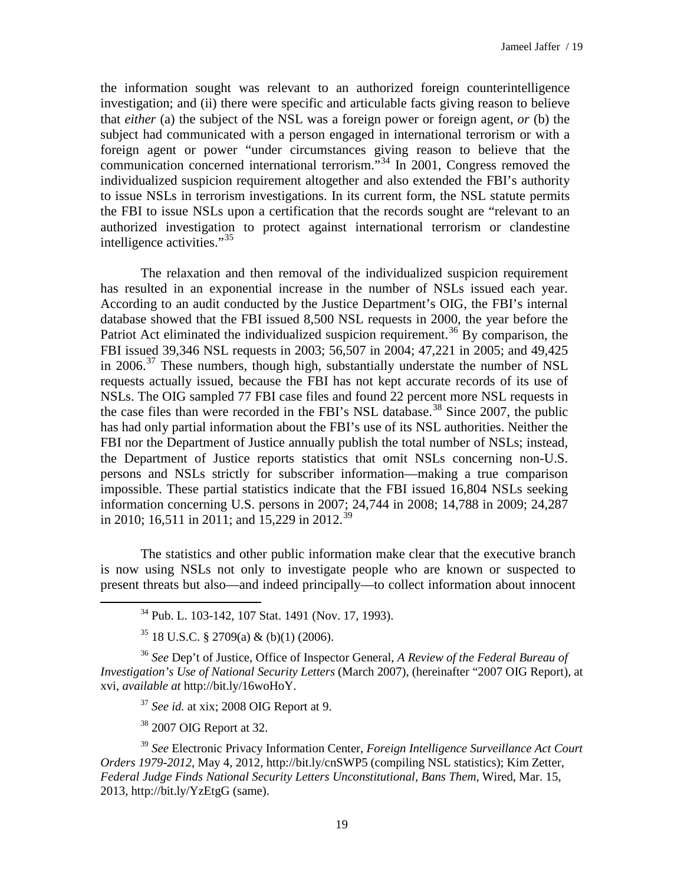the information sought was relevant to an authorized foreign counterintelligence investigation; and (ii) there were specific and articulable facts giving reason to believe that *either* (a) the subject of the NSL was a foreign power or foreign agent, *or* (b) the subject had communicated with a person engaged in international terrorism or with a foreign agent or power "under circumstances giving reason to believe that the communication concerned international terrorism."[34](#page-18-0) In 2001, Congress removed the individualized suspicion requirement altogether and also extended the FBI's authority to issue NSLs in terrorism investigations. In its current form, the NSL statute permits the FBI to issue NSLs upon a certification that the records sought are "relevant to an authorized investigation to protect against international terrorism or clandestine intelligence activities."<sup>[35](#page-18-1)</sup>

The relaxation and then removal of the individualized suspicion requirement has resulted in an exponential increase in the number of NSLs issued each year. According to an audit conducted by the Justice Department's OIG, the FBI's internal database showed that the FBI issued 8,500 NSL requests in 2000, the year before the Patriot Act eliminated the individualized suspicion requirement.<sup>[36](#page-18-2)</sup> By comparison, the FBI issued 39,346 NSL requests in 2003; 56,507 in 2004; 47,221 in 2005; and 49,425 in 2006.<sup>[37](#page-18-3)</sup> These numbers, though high, substantially understate the number of NSL requests actually issued, because the FBI has not kept accurate records of its use of NSLs. The OIG sampled 77 FBI case files and found 22 percent more NSL requests in the case files than were recorded in the FBI's NSL database.<sup>[38](#page-18-4)</sup> Since 2007, the public has had only partial information about the FBI's use of its NSL authorities. Neither the FBI nor the Department of Justice annually publish the total number of NSLs; instead, the Department of Justice reports statistics that omit NSLs concerning non-U.S. persons and NSLs strictly for subscriber information—making a true comparison impossible. These partial statistics indicate that the FBI issued 16,804 NSLs seeking information concerning U.S. persons in 2007; 24,744 in 2008; 14,788 in 2009; 24,287 in 2010; 16,511 in 2011; and 15,229 in 2012.<sup>[39](#page-18-5)</sup>

The statistics and other public information make clear that the executive branch is now using NSLs not only to investigate people who are known or suspected to present threats but also—and indeed principally—to collect information about innocent

<span id="page-18-2"></span><span id="page-18-1"></span><sup>36</sup> *See* Dep't of Justice, Office of Inspector General, *A Review of the Federal Bureau of Investigation's Use of National Security Letters* (March 2007), (hereinafter "2007 OIG Report), at xvi, *available at* http://bit.ly/16woHoY.

<sup>37</sup> *See id.* at xix; 2008 OIG Report at 9.

<sup>38</sup> 2007 OIG Report at 32.

<span id="page-18-0"></span> $\overline{a}$ 

<span id="page-18-5"></span><span id="page-18-4"></span><span id="page-18-3"></span><sup>39</sup> *See* Electronic Privacy Information Center, *Foreign Intelligence Surveillance Act Court Orders 1979-2012*, May 4, 2012, http://bit.ly/cnSWP5 (compiling NSL statistics); Kim Zetter, *Federal Judge Finds National Security Letters Unconstitutional, Bans Them*, Wired, Mar. 15, 2013, http://bit.ly/YzEtgG (same).

<sup>34</sup> Pub. L. 103-142, 107 Stat. 1491 (Nov. 17, 1993).

 $35$  18 U.S.C. § 2709(a) & (b)(1) (2006).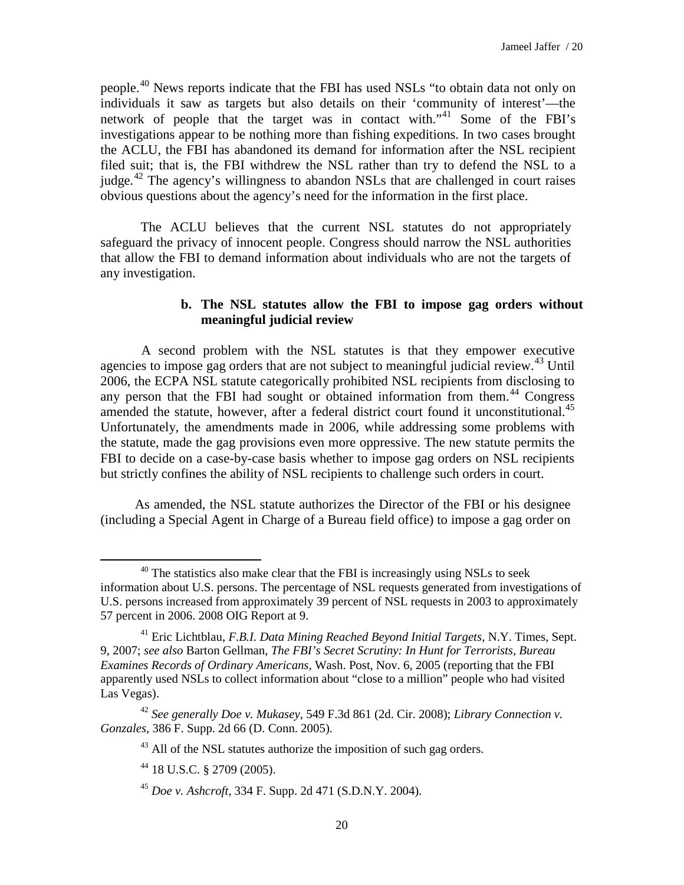people.[40](#page-19-0) News reports indicate that the FBI has used NSLs "to obtain data not only on individuals it saw as targets but also details on their 'community of interest'—the network of people that the target was in contact with."<sup>[41](#page-19-1)</sup> Some of the FBI's investigations appear to be nothing more than fishing expeditions. In two cases brought the ACLU, the FBI has abandoned its demand for information after the NSL recipient filed suit; that is, the FBI withdrew the NSL rather than try to defend the NSL to a judge.<sup>[42](#page-19-2)</sup> The agency's willingness to abandon NSLs that are challenged in court raises obvious questions about the agency's need for the information in the first place.

The ACLU believes that the current NSL statutes do not appropriately safeguard the privacy of innocent people. Congress should narrow the NSL authorities that allow the FBI to demand information about individuals who are not the targets of any investigation.

# **b. The NSL statutes allow the FBI to impose gag orders without meaningful judicial review**

A second problem with the NSL statutes is that they empower executive agencies to impose gag orders that are not subject to meaningful judicial review.<sup>[43](#page-19-3)</sup> Until 2006, the ECPA NSL statute categorically prohibited NSL recipients from disclosing to any person that the FBI had sought or obtained information from them. [44](#page-19-4) Congress amended the statute, however, after a federal district court found it unconstitutional.<sup>[45](#page-19-5)</sup> Unfortunately, the amendments made in 2006, while addressing some problems with the statute, made the gag provisions even more oppressive. The new statute permits the FBI to decide on a case-by-case basis whether to impose gag orders on NSL recipients but strictly confines the ability of NSL recipients to challenge such orders in court.

As amended, the NSL statute authorizes the Director of the FBI or his designee (including a Special Agent in Charge of a Bureau field office) to impose a gag order on

<span id="page-19-0"></span><sup>&</sup>lt;sup>40</sup> The statistics also make clear that the FBI is increasingly using NSLs to seek information about U.S. persons. The percentage of NSL requests generated from investigations of U.S. persons increased from approximately 39 percent of NSL requests in 2003 to approximately 57 percent in 2006. 2008 OIG Report at 9.

<span id="page-19-1"></span><sup>41</sup> Eric Lichtblau, *F.B.I. Data Mining Reached Beyond Initial Targets,* N.Y. Times, Sept. 9, 2007; *see also* Barton Gellman, *The FBI's Secret Scrutiny: In Hunt for Terrorists, Bureau Examines Records of Ordinary Americans,* Wash. Post, Nov. 6, 2005 (reporting that the FBI apparently used NSLs to collect information about "close to a million" people who had visited Las Vegas).

<span id="page-19-5"></span><span id="page-19-4"></span><span id="page-19-3"></span><span id="page-19-2"></span><sup>42</sup> *See generally Doe v. Mukasey*, 549 F.3d 861 (2d. Cir. 2008); *Library Connection v. Gonzales,* 386 F. Supp. 2d 66 (D. Conn. 2005).

<sup>&</sup>lt;sup>43</sup> All of the NSL statutes authorize the imposition of such gag orders.

<sup>44</sup> 18 U.S.C. § 2709 (2005).

<sup>45</sup> *Doe v. Ashcroft,* 334 F. Supp. 2d 471 (S.D.N.Y. 2004).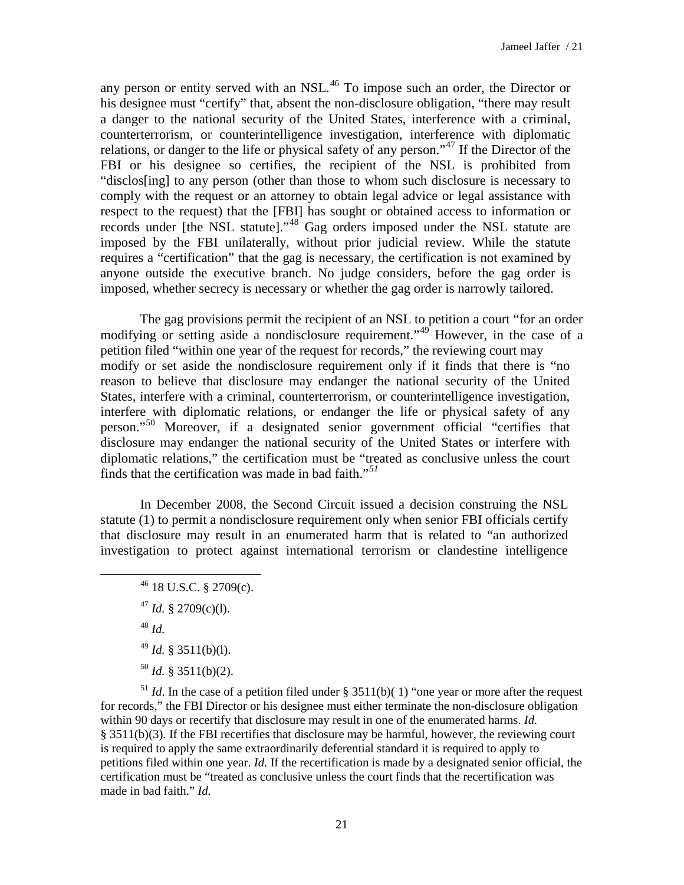any person or entity served with an NSL.<sup>[46](#page-20-0)</sup> To impose such an order, the Director or his designee must "certify" that, absent the non-disclosure obligation, "there may result a danger to the national security of the United States, interference with a criminal, counterterrorism, or counterintelligence investigation, interference with diplomatic relations, or danger to the life or physical safety of any person."<sup>[47](#page-20-1)</sup> If the Director of the FBI or his designee so certifies, the recipient of the NSL is prohibited from "disclos[ing] to any person (other than those to whom such disclosure is necessary to comply with the request or an attorney to obtain legal advice or legal assistance with respect to the request) that the [FBI] has sought or obtained access to information or records under [the NSL statute]."<sup>[48](#page-20-2)</sup> Gag orders imposed under the NSL statute are imposed by the FBI unilaterally, without prior judicial review. While the statute requires a "certification" that the gag is necessary, the certification is not examined by anyone outside the executive branch. No judge considers, before the gag order is imposed, whether secrecy is necessary or whether the gag order is narrowly tailored.

The gag provisions permit the recipient of an NSL to petition a court "for an order modifying or setting aside a nondisclosure requirement."<sup>[49](#page-20-3)</sup> However, in the case of a petition filed "within one year of the request for records," the reviewing court may modify or set aside the nondisclosure requirement only if it finds that there is "no reason to believe that disclosure may endanger the national security of the United States, interfere with a criminal, counterterrorism, or counterintelligence investigation, interfere with diplomatic relations, or endanger the life or physical safety of any person."[50](#page-20-4) Moreover, if a designated senior government official "certifies that disclosure may endanger the national security of the United States or interfere with diplomatic relations," the certification must be "treated as conclusive unless the court finds that the certification was made in bad faith."*[51](#page-20-5)*

In December 2008, the Second Circuit issued a decision construing the NSL statute (1) to permit a nondisclosure requirement only when senior FBI officials certify that disclosure may result in an enumerated harm that is related to "an authorized investigation to protect against international terrorism or clandestine intelligence

 $46$  18 U.S.C. § 2709(c). <sup>47</sup> *Id.* § 2709(c)(1). <sup>48</sup> *Id.* <sup>49</sup> *Id.* § 3511(b)(l).  $^{50}$  *Id.* § 3511(b)(2).

<span id="page-20-2"></span><span id="page-20-1"></span><span id="page-20-0"></span> $\overline{a}$ 

<span id="page-20-5"></span><span id="page-20-4"></span><span id="page-20-3"></span> $1/2$ <sup>51</sup> *Id*. In the case of a petition filed under § 3511(b)(1) "one year or more after the request for records," the FBI Director or his designee must either terminate the non-disclosure obligation within 90 days or recertify that disclosure may result in one of the enumerated harms. *Id.*  § 3511(b)(3). If the FBI recertifies that disclosure may be harmful, however, the reviewing court is required to apply the same extraordinarily deferential standard it is required to apply to petitions filed within one year. *Id.* If the recertification is made by a designated senior official, the certification must be "treated as conclusive unless the court finds that the recertification was made in bad faith." *Id.*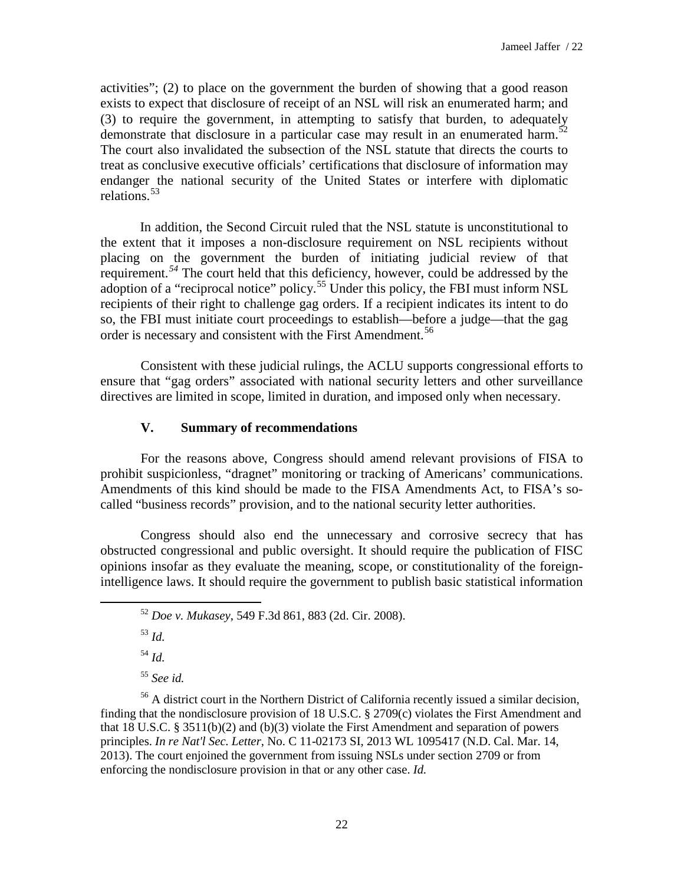activities"; (2) to place on the government the burden of showing that a good reason exists to expect that disclosure of receipt of an NSL will risk an enumerated harm; and (3) to require the government, in attempting to satisfy that burden, to adequately demonstrate that disclosure in a particular case may result in an enumerated harm.<sup>[52](#page-21-0)</sup> The court also invalidated the subsection of the NSL statute that directs the courts to treat as conclusive executive officials' certifications that disclosure of information may endanger the national security of the United States or interfere with diplomatic relations.<sup>[53](#page-21-1)</sup>

In addition, the Second Circuit ruled that the NSL statute is unconstitutional to the extent that it imposes a non-disclosure requirement on NSL recipients without placing on the government the burden of initiating judicial review of that requirement.<sup>[54](#page-21-2)</sup> The court held that this deficiency, however, could be addressed by the adoption of a "reciprocal notice" policy.[55](#page-21-3) Under this policy, the FBI must inform NSL recipients of their right to challenge gag orders. If a recipient indicates its intent to do so, the FBI must initiate court proceedings to establish—before a judge—that the gag order is necessary and consistent with the First Amendment. [56](#page-21-4)

Consistent with these judicial rulings, the ACLU supports congressional efforts to ensure that "gag orders" associated with national security letters and other surveillance directives are limited in scope, limited in duration, and imposed only when necessary.

# **V. Summary of recommendations**

For the reasons above, Congress should amend relevant provisions of FISA to prohibit suspicionless, "dragnet" monitoring or tracking of Americans' communications. Amendments of this kind should be made to the FISA Amendments Act, to FISA's socalled "business records" provision, and to the national security letter authorities.

Congress should also end the unnecessary and corrosive secrecy that has obstructed congressional and public oversight. It should require the publication of FISC opinions insofar as they evaluate the meaning, scope, or constitutionality of the foreignintelligence laws. It should require the government to publish basic statistical information

<span id="page-21-1"></span><span id="page-21-0"></span> $\overline{a}$ 

<sup>54</sup> *Id.*

<sup>55</sup> *See id.*

<span id="page-21-4"></span><span id="page-21-3"></span><span id="page-21-2"></span><sup>56</sup> A district court in the Northern District of California recently issued a similar decision, finding that the nondisclosure provision of 18 U.S.C. § 2709(c) violates the First Amendment and that 18 U.S.C. § 3511(b)(2) and (b)(3) violate the First Amendment and separation of powers principles. *In re Nat'l Sec. Letter*, No. C 11-02173 SI, 2013 WL 1095417 (N.D. Cal. Mar. 14, 2013). The court enjoined the government from issuing NSLs under section 2709 or from enforcing the nondisclosure provision in that or any other case. *Id.*

<sup>52</sup> *Doe v. Mukasey*, 549 F.3d 861, 883 (2d. Cir. 2008).

<sup>53</sup> *Id.*